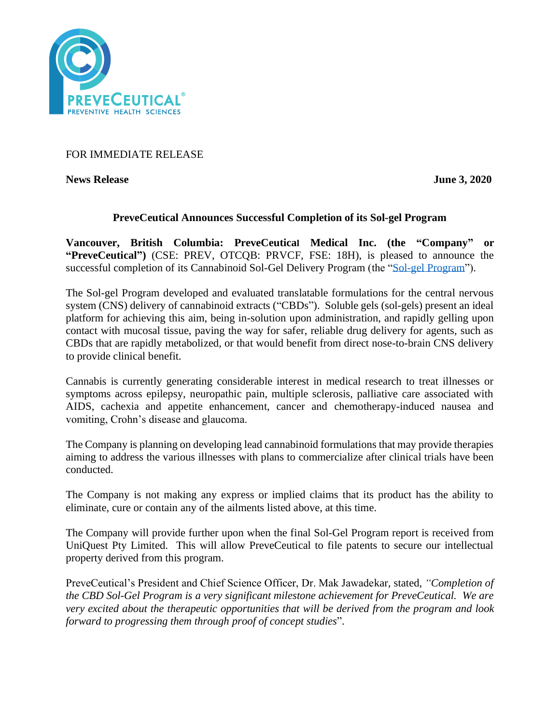

# FOR IMMEDIATE RELEASE

**News Release June 3, 2020** 

## **PreveCeutical Announces Successful Completion of its Sol-gel Program**

**Vancouver, British Columbia: PreveCeutical Medical Inc. (the "Company" or "PreveCeutical")** (CSE: PREV, OTCQB: PRVCF, FSE: 18H), is pleased to announce the successful completion of its Cannabinoid Sol-Gel Delivery Program (the ["Sol-gel Program"](https://www.preveceutical.com/research-development/sol-gel/)).

The Sol-gel Program developed and evaluated translatable formulations for the central nervous system (CNS) delivery of cannabinoid extracts ("CBDs"). Soluble gels (sol-gels) present an ideal platform for achieving this aim, being in-solution upon administration, and rapidly gelling upon contact with mucosal tissue, paving the way for safer, reliable drug delivery for agents, such as CBDs that are rapidly metabolized, or that would benefit from direct nose-to-brain CNS delivery to provide clinical benefit.

Cannabis is currently generating considerable interest in medical research to treat illnesses or symptoms across epilepsy, neuropathic pain, multiple sclerosis, palliative care associated with AIDS, cachexia and appetite enhancement, cancer and chemotherapy-induced nausea and vomiting, Crohn's disease and glaucoma.

The Company is planning on developing lead cannabinoid formulations that may provide therapies aiming to address the various illnesses with plans to commercialize after clinical trials have been conducted.

The Company is not making any express or implied claims that its product has the ability to eliminate, cure or contain any of the ailments listed above, at this time.

The Company will provide further upon when the final Sol-Gel Program report is received from UniQuest Pty Limited. This will allow PreveCeutical to file patents to secure our intellectual property derived from this program.

PreveCeutical's President and Chief Science Officer, Dr. Mak Jawadekar, stated, *"Completion of the CBD Sol-Gel Program is a very significant milestone achievement for PreveCeutical. We are very excited about the therapeutic opportunities that will be derived from the program and look forward to progressing them through proof of concept studies*".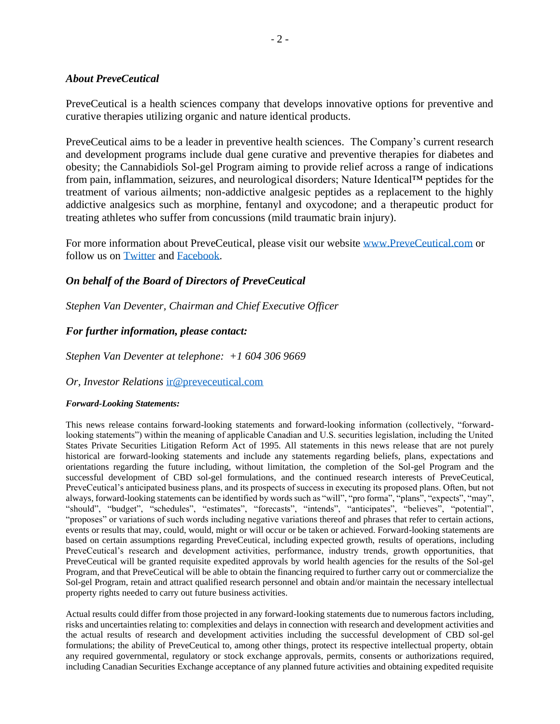### *About PreveCeutical*

PreveCeutical is a health sciences company that develops innovative options for preventive and curative therapies utilizing organic and nature identical products.

PreveCeutical aims to be a leader in preventive health sciences. The Company's current research and development programs include dual gene curative and preventive therapies for diabetes and obesity; the Cannabidiols Sol-gel Program aiming to provide relief across a range of indications from pain, inflammation, seizures, and neurological disorders; Nature Identical™ peptides for the treatment of various ailments; non-addictive analgesic peptides as a replacement to the highly addictive analgesics such as morphine, fentanyl and oxycodone; and a therapeutic product for treating athletes who suffer from concussions (mild traumatic brain injury).

For more information about PreveCeutical, please visit our website [www.PreveCeutical.com](http://www.preveceutical.com/) or follow us on [Twitter](http://twitter.com/PreveCeuticals) and [Facebook.](http://www.facebook.com/PreveCeutical)

## *On behalf of the Board of Directors of PreveCeutical*

*Stephen Van Deventer, Chairman and Chief Executive Officer*

## *For further information, please contact:*

*Stephen Van Deventer at telephone: +1 604 306 9669*

#### *Or, Investor Relations* [ir@preveceutical.com](mailto:ir@preveceutical.com)

#### *Forward-Looking Statements:*

This news release contains forward-looking statements and forward-looking information (collectively, "forwardlooking statements") within the meaning of applicable Canadian and U.S. securities legislation, including the United States Private Securities Litigation Reform Act of 1995. All statements in this news release that are not purely historical are forward-looking statements and include any statements regarding beliefs, plans, expectations and orientations regarding the future including, without limitation, the completion of the Sol-gel Program and the successful development of CBD sol-gel formulations, and the continued research interests of PreveCeutical, PreveCeutical's anticipated business plans, and its prospects of success in executing its proposed plans. Often, but not always, forward-looking statements can be identified by words such as "will", "pro forma", "plans", "expects", "may", "should", "budget", "schedules", "estimates", "forecasts", "intends", "anticipates", "believes", "potential", "proposes" or variations of such words including negative variations thereof and phrases that refer to certain actions, events or results that may, could, would, might or will occur or be taken or achieved. Forward-looking statements are based on certain assumptions regarding PreveCeutical, including expected growth, results of operations, including PreveCeutical's research and development activities, performance, industry trends, growth opportunities, that PreveCeutical will be granted requisite expedited approvals by world health agencies for the results of the Sol-gel Program, and that PreveCeutical will be able to obtain the financing required to further carry out or commercialize the Sol-gel Program, retain and attract qualified research personnel and obtain and/or maintain the necessary intellectual property rights needed to carry out future business activities.

Actual results could differ from those projected in any forward-looking statements due to numerous factors including, risks and uncertainties relating to: complexities and delays in connection with research and development activities and the actual results of research and development activities including the successful development of CBD sol-gel formulations; the ability of PreveCeutical to, among other things, protect its respective intellectual property, obtain any required governmental, regulatory or stock exchange approvals, permits, consents or authorizations required, including Canadian Securities Exchange acceptance of any planned future activities and obtaining expedited requisite